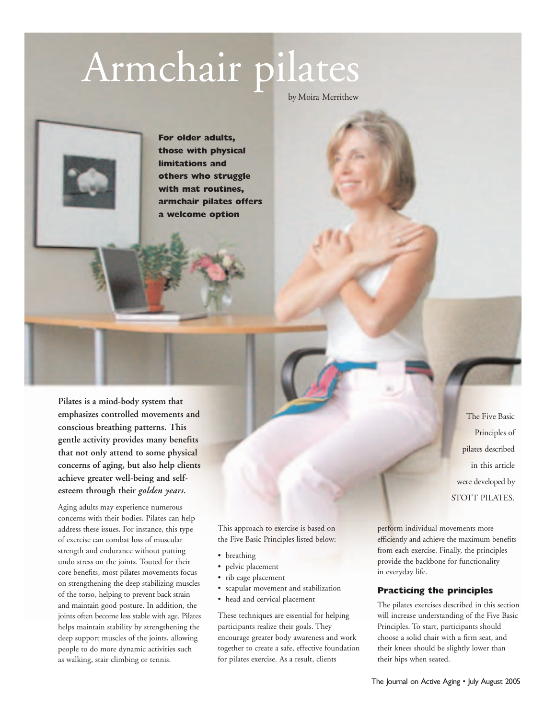# Armchair pilates

by Moira Merrithew

**For older adults, those with physical limitations and others who struggle with mat routines, armchair pilates offers a welcome option**

**Pilates is a mind-body system that emphasizes controlled movements and conscious breathing patterns. This gentle activity provides many benefits that not only attend to some physical concerns of aging, but also help clients achieve greater well-being and selfesteem through their** *golden years.*

Aging adults may experience numerous concerns with their bodies. Pilates can help address these issues. For instance, this type of exercise can combat loss of muscular strength and endurance without putting undo stress on the joints. Touted for their core benefits, most pilates movements focus on strengthening the deep stabilizing muscles of the torso, helping to prevent back strain and maintain good posture. In addition, the joints often become less stable with age. Pilates helps maintain stability by strengthening the deep support muscles of the joints, allowing people to do more dynamic activities such as walking, stair climbing or tennis.

This approach to exercise is based on the Five Basic Principles listed below:

- breathing
- pelvic placement
- rib cage placement
- scapular movement and stabilization
- head and cervical placement

These techniques are essential for helping participants realize their goals. They encourage greater body awareness and work together to create a safe, effective foundation for pilates exercise. As a result, clients

perform individual movements more efficiently and achieve the maximum benefits from each exercise. Finally, the principles provide the backbone for functionality in everyday life.

The Five Basic Principles of pilates described in this article

were developed by STOTT PILATES.

#### **Practicing the principles**

The pilates exercises described in this section will increase understanding of the Five Basic Principles. To start, participants should choose a solid chair with a firm seat, and their knees should be slightly lower than their hips when seated.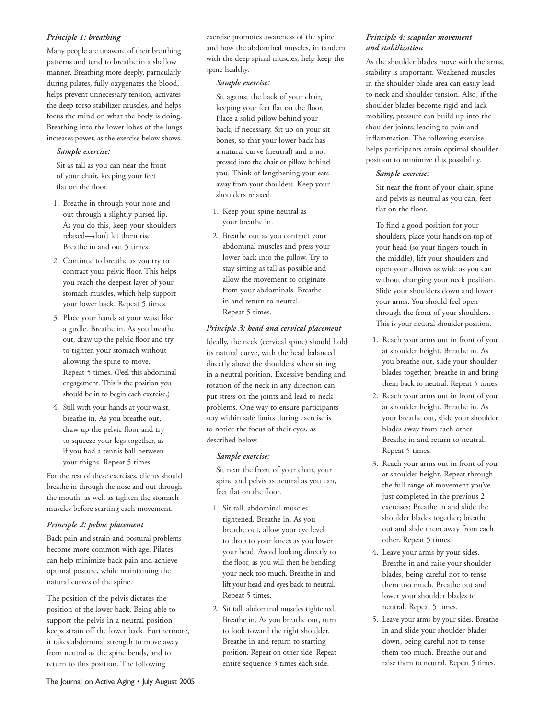## *Principle 1: breathing*

Many people are unaware of their breathing patterns and tend to breathe in a shallow manner. Breathing more deeply, particularly during pilates, fully oxygenates the blood, helps prevent unnecessary tension, activates the deep torso stabilizer muscles, and helps focus the mind on what the body is doing. Breathing into the lower lobes of the lungs increases power, as the exercise below shows.

#### *Sample exercise:*

Sit as tall as you can near the front of your chair, keeping your feet flat on the floor.

- 1. Breathe in through your nose and out through a slightly pursed lip. As you do this, keep your shoulders relaxed—don't let them rise. Breathe in and out 5 times.
- 2. Continue to breathe as you try to contract your pelvic floor. This helps you reach the deepest layer of your stomach muscles, which help support your lower back. Repeat 5 times.
- 3. Place your hands at your waist like a girdle. Breathe in. As you breathe out, draw up the pelvic floor and try to tighten your stomach without allowing the spine to move. Repeat 5 times. (Feel this abdominal engagement. This is the position you should be in to begin each exercise.)
- 4. Still with your hands at your waist, breathe in. As you breathe out, draw up the pelvic floor and try to squeeze your legs together, as if you had a tennis ball between your thighs. Repeat 5 times.

For the rest of these exercises, clients should breathe in through the nose and out through the mouth, as well as tighten the stomach muscles before starting each movement.

## *Principle 2: pelvic placement*

Back pain and strain and postural problems become more common with age. Pilates can help minimize back pain and achieve optimal posture, while maintaining the natural curves of the spine.

The position of the pelvis dictates the position of the lower back. Being able to support the pelvis in a neutral position keeps strain off the lower back. Furthermore, it takes abdominal strength to move away from neutral as the spine bends, and to return to this position. The following

exercise promotes awareness of the spine and how the abdominal muscles, in tandem with the deep spinal muscles, help keep the spine healthy.

#### *Sample exercise:*

Sit against the back of your chair, keeping your feet flat on the floor. Place a solid pillow behind your back, if necessary. Sit up on your sit bones, so that your lower back has a natural curve (neutral) and is not pressed into the chair or pillow behind you. Think of lengthening your ears away from your shoulders. Keep your shoulders relaxed.

- 1. Keep your spine neutral as your breathe in.
- 2. Breathe out as you contract your abdominal muscles and press your lower back into the pillow. Try to stay sitting as tall as possible and allow the movement to originate from your abdominals. Breathe in and return to neutral. Repeat 5 times.

## *Principle 3: head and cervical placement*

Ideally, the neck (cervical spine) should hold its natural curve, with the head balanced directly above the shoulders when sitting in a neutral position. Excessive bending and rotation of the neck in any direction can put stress on the joints and lead to neck problems. One way to ensure participants stay within safe limits during exercise is to notice the focus of their eyes, as described below.

## *Sample exercise:*

Sit near the front of your chair, your spine and pelvis as neutral as you can, feet flat on the floor.

- 1. Sit tall, abdominal muscles tightened. Breathe in. As you breathe out, allow your eye level to drop to your knees as you lower your head. Avoid looking directly to the floor, as you will then be bending your neck too much. Breathe in and lift your head and eyes back to neutral. Repeat 5 times.
- 2. Sit tall, abdominal muscles tightened. Breathe in. As you breathe out, turn to look toward the right shoulder. Breathe in and return to starting position. Repeat on other side. Repeat entire sequence 3 times each side.

## *Principle 4: scapular movement and stabilization*

As the shoulder blades move with the arms, stability is important. Weakened muscles in the shoulder blade area can easily lead to neck and shoulder tension. Also, if the shoulder blades become rigid and lack mobility, pressure can build up into the shoulder joints, leading to pain and inflammation. The following exercise helps participants attain optimal shoulder position to minimize this possibility.

#### *Sample exercise:*

Sit near the front of your chair, spine and pelvis as neutral as you can, feet flat on the floor.

To find a good position for your shoulders, place your hands on top of your head (so your fingers touch in the middle), lift your shoulders and open your elbows as wide as you can without changing your neck position. Slide your shoulders down and lower your arms. You should feel open through the front of your shoulders. This is your neutral shoulder position.

- 1. Reach your arms out in front of you at shoulder height. Breathe in. As you breathe out, slide your shoulder blades together; breathe in and bring them back to neutral. Repeat 5 times.
- 2. Reach your arms out in front of you at shoulder height. Breathe in. As your breathe out, slide your shoulder blades away from each other. Breathe in and return to neutral. Repeat 5 times.
- 3. Reach your arms out in front of you at shoulder height. Repeat through the full range of movement you've just completed in the previous 2 exercises: Breathe in and slide the shoulder blades together; breathe out and slide them away from each other. Repeat 5 times.
- 4. Leave your arms by your sides. Breathe in and raise your shoulder blades, being careful not to tense them too much. Breathe out and lower your shoulder blades to neutral. Repeat 5 times.
- 5. Leave your arms by your sides. Breathe in and slide your shoulder blades down, being careful not to tense them too much. Breathe out and raise them to neutral. Repeat 5 times.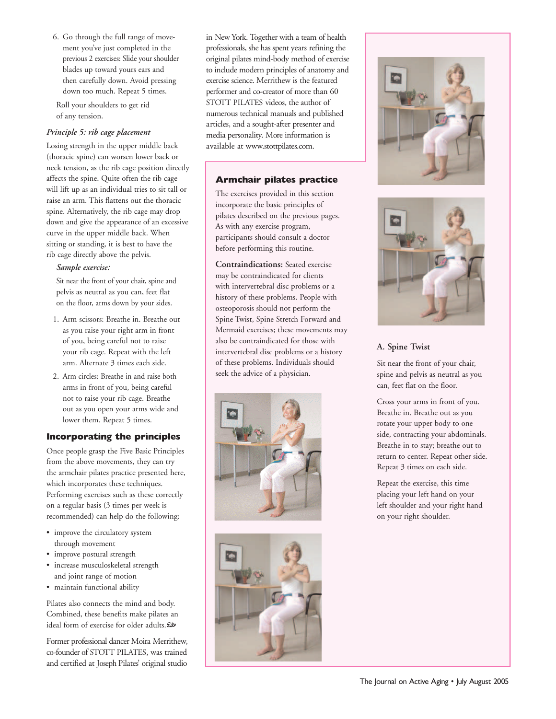6. Go through the full range of movement you've just completed in the previous 2 exercises: Slide your shoulder blades up toward yours ears and then carefully down. Avoid pressing down too much. Repeat 5 times.

Roll your shoulders to get rid of any tension.

## *Principle 5: rib cage placement*

Losing strength in the upper middle back (thoracic spine) can worsen lower back or neck tension, as the rib cage position directly affects the spine. Quite often the rib cage will lift up as an individual tries to sit tall or raise an arm. This flattens out the thoracic spine. Alternatively, the rib cage may drop down and give the appearance of an excessive curve in the upper middle back. When sitting or standing, it is best to have the rib cage directly above the pelvis.

#### *Sample exercise:*

Sit near the front of your chair, spine and pelvis as neutral as you can, feet flat on the floor, arms down by your sides.

- 1. Arm scissors: Breathe in. Breathe out as you raise your right arm in front of you, being careful not to raise your rib cage. Repeat with the left arm. Alternate 3 times each side.
- 2. Arm circles: Breathe in and raise both arms in front of you, being careful not to raise your rib cage. Breathe out as you open your arms wide and lower them. Repeat 5 times.

# **Incorporating the principles**

Once people grasp the Five Basic Principles from the above movements, they can try the armchair pilates practice presented here, which incorporates these techniques. Performing exercises such as these correctly on a regular basis (3 times per week is recommended) can help do the following:

- improve the circulatory system through movement
- improve postural strength
- increase musculoskeletal strength and joint range of motion
- maintain functional ability

Pilates also connects the mind and body. Combined, these benefits make pilates an ideal form of exercise for older adults. $\mathcal D$ 

Former professional dancer Moira Merrithew, co-founder of STOTT PILATES, was trained and certified at Joseph Pilates' original studio in New York. Together with a team of health professionals, she has spent years refining the original pilates mind-body method of exercise to include modern principles of anatomy and exercise science. Merrithew is the featured performer and co-creator of more than 60 STOTT PILATES videos, the author of numerous technical manuals and published articles, and a sought-after presenter and media personality. More information is available at www.stottpilates.com.

# **Armchair pilates practice**

The exercises provided in this section incorporate the basic principles of pilates described on the previous pages. As with any exercise program, participants should consult a doctor before performing this routine.

**Contraindications:** Seated exercise may be contraindicated for clients with intervertebral disc problems or a history of these problems. People with osteoporosis should not perform the Spine Twist, Spine Stretch Forward and Mermaid exercises; these movements may also be contraindicated for those with intervertebral disc problems or a history of these problems. Individuals should seek the advice of a physician.









# **A. Spine Twist**

Sit near the front of your chair, spine and pelvis as neutral as you can, feet flat on the floor.

Cross your arms in front of you. Breathe in. Breathe out as you rotate your upper body to one side, contracting your abdominals. Breathe in to stay; breathe out to return to center. Repeat other side. Repeat 3 times on each side.

Repeat the exercise, this time placing your left hand on your left shoulder and your right hand on your right shoulder.